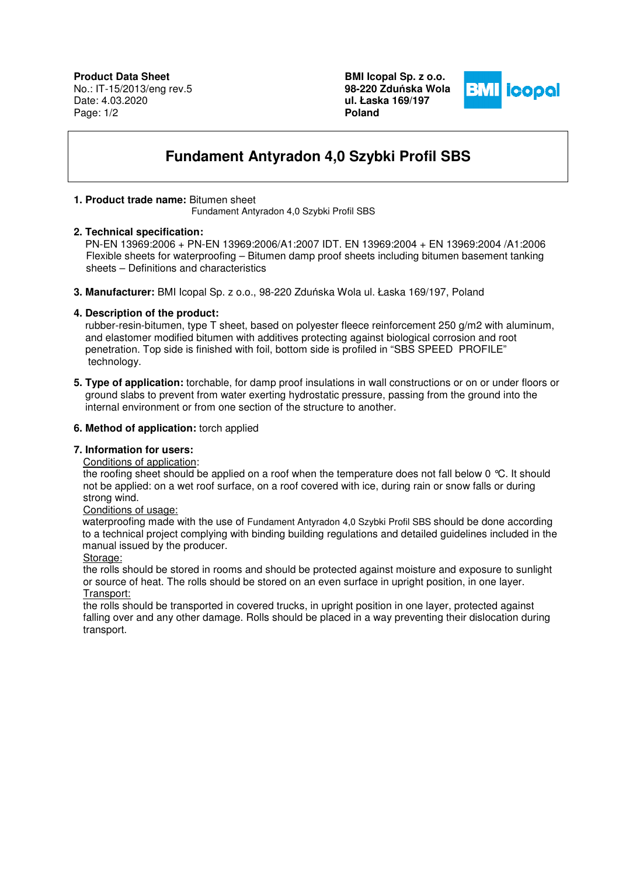**Product Data Sheet** No.: IT-15/2013/eng rev.5 Date: 4.03.2020 Page: 1/2

**BMI Icopal Sp. z o.o. 98-220 Zdu**ń**ska Wola ul. Łaska 169/197 Poland** 



# **Fundament Antyradon 4,0 Szybki Profil SBS**

## **1. Product trade name:** Bitumen sheet

Fundament Antyradon 4,0 Szybki Profil SBS

#### **2. Technical specification:**

 PN-EN 13969:2006 + PN-EN 13969:2006/A1:2007 IDT. EN 13969:2004 + EN 13969:2004 /A1:2006 Flexible sheets for waterproofing – Bitumen damp proof sheets including bitumen basement tanking sheets – Definitions and characteristics

**3. Manufacturer:** BMI Icopal Sp. z o.o., 98-220 Zduńska Wola ul. Łaska 169/197, Poland

## **4. Description of the product:**

 rubber-resin-bitumen, type T sheet, based on polyester fleece reinforcement 250 g/m2 with aluminum, and elastomer modified bitumen with additives protecting against biological corrosion and root penetration. Top side is finished with foil, bottom side is profiled in "SBS SPEED PROFILE" technology.

**5. Type of application:** torchable, for damp proof insulations in wall constructions or on or under floors or ground slabs to prevent from water exerting hydrostatic pressure, passing from the ground into the internal environment or from one section of the structure to another.

#### **6. Method of application:** torch applied

## **7. Information for users:**

## Conditions of application:

the roofing sheet should be applied on a roof when the temperature does not fall below 0 °C. It should not be applied: on a wet roof surface, on a roof covered with ice, during rain or snow falls or during strong wind.

#### Conditions of usage:

 waterproofing made with the use of Fundament Antyradon 4,0 Szybki Profil SBS should be done according to a technical project complying with binding building regulations and detailed guidelines included in the manual issued by the producer.

#### Storage:

the rolls should be stored in rooms and should be protected against moisture and exposure to sunlight or source of heat. The rolls should be stored on an even surface in upright position, in one layer. Transport:

the rolls should be transported in covered trucks, in upright position in one layer, protected against falling over and any other damage. Rolls should be placed in a way preventing their dislocation during transport.